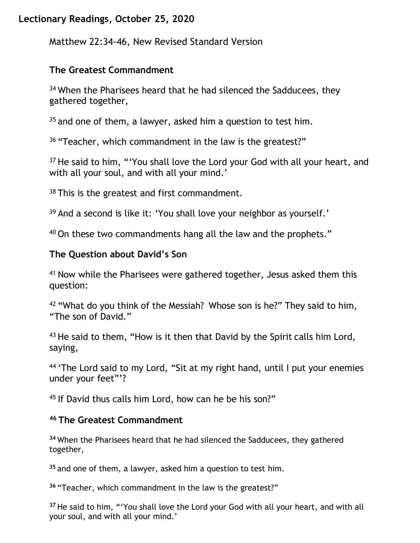# **Lectionary Readings, October 25, 2020**

Matthew 22:34-46, New Revised Standard Version

## **The Greatest Commandment**

<sup>34</sup> When the Pharisees heard that he had silenced the Sadducees, they gathered together,

 $35$  and one of them, a lawyer, asked him a question to test him.

<sup>36</sup> "Teacher, which commandment in the law is the greatest?"

<sup>37</sup> He said to him, "'You shall love the Lord your God with all your heart, and with all your soul, and with all your mind.'

<sup>38</sup> This is the greatest and first commandment.

<sup>39</sup> And a second is like it: 'You shall love your neighbor as yourself.'

<sup>40</sup> On these two commandments hang all the law and the prophets."

# **The Question about David's Son**

<sup>41</sup> Now while the Pharisees were gathered together, Jesus asked them this question:

<sup>42</sup> "What do you think of the Messiah? Whose son is he?" They said to him, "The son of David."

<sup>43</sup> He said to them, "How is it then that David by the Spirit calls him Lord, saying,

<sup>44</sup> 'The Lord said to my Lord, "Sit at my right hand, until I put your enemies under your feet"'?

45 If David thus calls him Lord, how can he be his son?"

#### **<sup>46</sup> The Greatest Commandment**

**<sup>34</sup>** When the Pharisees heard that he had silenced the Sadducees, they gathered together,

**<sup>35</sup>** and one of them, a lawyer, asked him a question to test him.

**<sup>36</sup>** "Teacher, which commandment in the law is the greatest?"

**<sup>37</sup>** He said to him, "'You shall love the Lord your God with all your heart, and with all your soul, and with all your mind.'